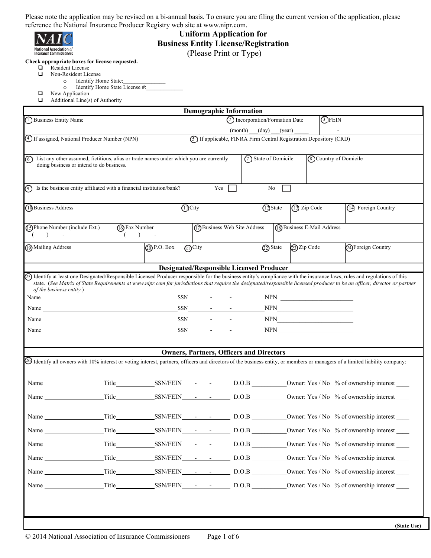

**National Association of**<br>Insurance Commissioners

### **Uniform Application for Business Entity License/Registration**  (Please Print or Type)

**Check appropriate boxes for license requested.** 

- Resident License<br> **Non-Resident License** 
	- Non-Resident License
		- o Identify Home State:\_\_\_\_\_\_\_\_\_\_\_\_\_\_\_
		- o Identify Home State License #:
- $\Box$  New Application<br> $\Box$  Additional Line(s) Additional Line(s) of Authority

|                                                                                                                                                                                                                                |                                                                  |                                                 |                      | <b>Demographic Information</b> |  |          |                       |               |                                                                     |                 |                              |                     |             |
|--------------------------------------------------------------------------------------------------------------------------------------------------------------------------------------------------------------------------------|------------------------------------------------------------------|-------------------------------------------------|----------------------|--------------------------------|--|----------|-----------------------|---------------|---------------------------------------------------------------------|-----------------|------------------------------|---------------------|-------------|
| 1) Business Entity Name                                                                                                                                                                                                        |                                                                  | <b>OFEIN</b><br>2 Incorporation/Formation Date  |                      |                                |  |          |                       |               |                                                                     |                 |                              |                     |             |
|                                                                                                                                                                                                                                |                                                                  |                                                 |                      |                                |  |          |                       |               | $(month)$ (day) (year)                                              | $\sim 10^{-10}$ |                              |                     |             |
| 4 If assigned, National Producer Number (NPN)                                                                                                                                                                                  |                                                                  |                                                 |                      |                                |  |          |                       |               | (5) If applicable, FINRA Firm Central Registration Depository (CRD) |                 |                              |                     |             |
| 6<br>List any other assumed, fictitious, alias or trade names under which you are currently<br>doing business or intend to do business.                                                                                        |                                                                  |                                                 |                      |                                |  |          | (7) State of Domicile |               |                                                                     |                 | <b>8</b> Country of Domicile |                     |             |
|                                                                                                                                                                                                                                |                                                                  |                                                 |                      |                                |  |          |                       |               |                                                                     |                 |                              |                     |             |
| (9) Is the business entity affiliated with a financial institution/bank?                                                                                                                                                       |                                                                  |                                                 |                      | Yes                            |  |          | No                    |               |                                                                     |                 |                              |                     |             |
| 10 Business Address                                                                                                                                                                                                            |                                                                  | (I) City                                        |                      |                                |  | 12 State |                       | (13) Zip Code |                                                                     |                 | (14) Foreign Country         |                     |             |
| (15) Phone Number (include Ext.)                                                                                                                                                                                               | (16) Fax Number                                                  |                                                 |                      | (17) Business Web Site Address |  |          |                       |               | (18) Business E-Mail Address                                        |                 |                              |                     |             |
| $\rightarrow$                                                                                                                                                                                                                  | $($ ) -                                                          |                                                 |                      |                                |  |          |                       |               |                                                                     |                 |                              |                     |             |
| (19) Mailing Address                                                                                                                                                                                                           | [20 P.O. Box]                                                    |                                                 | $\mathcal{Q}_1$ City |                                |  |          | 22) State             |               | 23 Zip Code                                                         |                 |                              | 24) Foreign Country |             |
|                                                                                                                                                                                                                                |                                                                  | <b>Designated/Responsible Licensed Producer</b> |                      |                                |  |          |                       |               |                                                                     |                 |                              |                     |             |
| (25) Identify at least one Designated/Responsible Licensed Producer responsible for the business entity's compliance with the insurance laws, rules and regulations of this                                                    |                                                                  |                                                 |                      |                                |  |          |                       |               |                                                                     |                 |                              |                     |             |
| state. (See Matrix of State Requirements at www.nipr.com for jurisdictions that require the designated/responsible licensed producer to be an officer, director or partner<br>of the business entity.)                         |                                                                  |                                                 |                      |                                |  |          |                       |               |                                                                     |                 |                              |                     |             |
| Name $\frac{SSN}{N}$ - NPN                                                                                                                                                                                                     |                                                                  |                                                 |                      |                                |  |          |                       |               |                                                                     |                 |                              |                     |             |
| Name Name New York SSN New York NPN New York SSN New York NPN New York New York New York New York New York New York New York New York New York New York New York New York New York New York New York New York New York New Yor |                                                                  |                                                 |                      |                                |  |          |                       |               |                                                                     |                 |                              |                     |             |
| Name $\frac{\text{SSN}}{\text{S}}$ $\frac{\text{SSN}}{\text{S}}$ $\frac{\text{SN}}{\text{S}}$ $\frac{\text{SN}}{\text{S}}$ $\frac{\text{NPN}}{\text{S}}$                                                                       |                                                                  |                                                 |                      |                                |  |          |                       |               |                                                                     |                 |                              |                     |             |
| Name NPN News Age of the SSN News Age of the NPN News Age of the NPN News Age of the NPN News Age of the NPN News Age of the News Age of the News Age of the News Age of the News Age of the News Age of the News Age of the N |                                                                  |                                                 |                      |                                |  |          |                       |               |                                                                     |                 |                              |                     |             |
|                                                                                                                                                                                                                                |                                                                  | <b>Owners, Partners, Officers and Directors</b> |                      |                                |  |          |                       |               |                                                                     |                 |                              |                     |             |
| 40 Identify all owners with 10% interest or voting interest, partners, officers and directors of the business entity, or members or managers of a limited liability company:                                                   |                                                                  |                                                 |                      |                                |  |          |                       |               |                                                                     |                 |                              |                     |             |
|                                                                                                                                                                                                                                |                                                                  |                                                 |                      |                                |  |          |                       |               |                                                                     |                 |                              |                     |             |
|                                                                                                                                                                                                                                |                                                                  |                                                 |                      |                                |  |          |                       |               |                                                                     |                 |                              |                     |             |
| Name                                                                                                                                                                                                                           | Title SSN/FEIN - - D.O.B Owner: Yes / No % of ownership interest |                                                 |                      |                                |  |          |                       |               |                                                                     |                 |                              |                     |             |
| Name $\qquad \qquad$                                                                                                                                                                                                           | Title SSN/FEIN - - D.O.B Owner: Yes / No % of ownership interest |                                                 |                      |                                |  |          |                       |               |                                                                     |                 |                              |                     |             |
| Name                                                                                                                                                                                                                           | Title SSN/FEIN - - D.O.B Owner: Yes / No % of ownership interest |                                                 |                      |                                |  |          |                       |               |                                                                     |                 |                              |                     |             |
|                                                                                                                                                                                                                                |                                                                  |                                                 |                      |                                |  |          |                       |               |                                                                     |                 |                              |                     |             |
| Name Title SSN/FEIN - D.O.B Owner: Yes / No % of ownership interest                                                                                                                                                            |                                                                  |                                                 |                      |                                |  |          |                       |               |                                                                     |                 |                              |                     |             |
| Name Title SSN/FEIN - D.O.B Owner: Yes / No % of ownership interest                                                                                                                                                            |                                                                  |                                                 |                      |                                |  |          |                       |               |                                                                     |                 |                              |                     |             |
| Name Title SSN/FEIN - D.O.B Owner: Yes / No % of ownership interest                                                                                                                                                            |                                                                  |                                                 |                      |                                |  |          |                       |               |                                                                     |                 |                              |                     |             |
|                                                                                                                                                                                                                                |                                                                  |                                                 |                      |                                |  |          |                       |               |                                                                     |                 |                              |                     |             |
|                                                                                                                                                                                                                                |                                                                  |                                                 |                      |                                |  |          |                       |               |                                                                     |                 |                              |                     |             |
|                                                                                                                                                                                                                                |                                                                  |                                                 |                      |                                |  |          |                       |               |                                                                     |                 |                              |                     | (State Use) |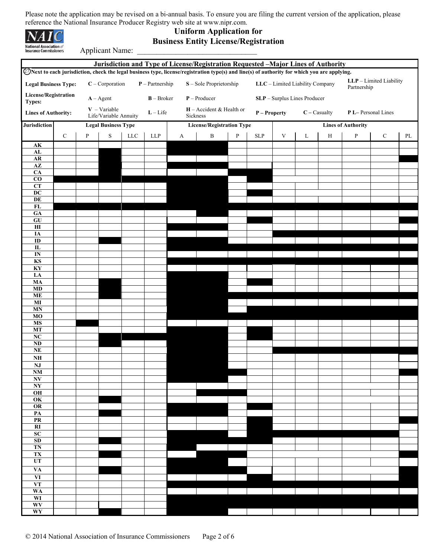

# **Uniform Application for Business Entity License/Registration**

Applicant Name:

| Jurisdiction and Type of License/Registration Requested -Major Lines of Authority<br>ØNext to each jurisdiction, check the legal business type, license/registration type(s) and line(s) of authority for which you are applying. |           |              |                                         |            |                   |                |                                        |                              |       |                                 |                         |                                        |                           |             |    |  |
|-----------------------------------------------------------------------------------------------------------------------------------------------------------------------------------------------------------------------------------|-----------|--------------|-----------------------------------------|------------|-------------------|----------------|----------------------------------------|------------------------------|-------|---------------------------------|-------------------------|----------------------------------------|---------------------------|-------------|----|--|
| <b>Legal Business Type:</b>                                                                                                                                                                                                       |           |              | $C$ – Corporation                       |            | $P$ – Partnership |                | S - Sole Proprietorship                |                              |       | LLC - Limited Liability Company |                         | LLP - Limited Liability<br>Partnership |                           |             |    |  |
| License/Registration<br>$B - Broker$<br>$A - Agent$                                                                                                                                                                               |           |              |                                         |            |                   | $P -$ Producer |                                        | SLP - Surplus Lines Producer |       |                                 |                         |                                        |                           |             |    |  |
| <b>Types:</b><br><b>Lines of Authority:</b>                                                                                                                                                                                       |           |              | $V - Variable$<br>Life/Variable Annuity |            | $L$ – Life        |                | $H -$ Accident & Health or<br>Sickness | P - Property                 |       |                                 | $\mathbf{C}$ – Casualty | P L-Personal Lines                     |                           |             |    |  |
| Jurisdiction                                                                                                                                                                                                                      |           |              | <b>Legal Business Type</b>              |            |                   |                | <b>License/Registration Type</b>       |                              |       |                                 |                         |                                        | <b>Lines of Authority</b> |             |    |  |
|                                                                                                                                                                                                                                   | ${\bf C}$ | $\, {\bf P}$ | ${\bf S}$                               | <b>LLC</b> | LLP               | A              | $\, {\bf B}$                           | $\, {\bf p}$                 | $SLP$ | $\mathbf V$                     | L                       | $\, {\rm H}$                           | P                         | $\mathbf C$ | PL |  |
| $\mathbf{AK}$                                                                                                                                                                                                                     |           |              |                                         |            |                   |                |                                        |                              |       |                                 |                         |                                        |                           |             |    |  |
| AL<br>${\bf AR}$                                                                                                                                                                                                                  |           |              |                                         |            |                   |                |                                        |                              |       |                                 |                         |                                        |                           |             |    |  |
| $\mathbf{A}\mathbf{Z}$                                                                                                                                                                                                            |           |              |                                         |            |                   |                |                                        |                              |       |                                 |                         |                                        |                           |             |    |  |
| $\overline{CA}$<br>$\overline{c}$                                                                                                                                                                                                 |           |              |                                         |            |                   |                |                                        |                              |       |                                 |                         |                                        |                           |             |    |  |
| CT                                                                                                                                                                                                                                |           |              |                                         |            |                   |                |                                        |                              |       |                                 |                         |                                        |                           |             |    |  |
| $\overline{DC}$<br>DE                                                                                                                                                                                                             |           |              |                                         |            |                   |                |                                        |                              |       |                                 |                         |                                        |                           |             |    |  |
| ${\bf FL}$                                                                                                                                                                                                                        |           |              |                                         |            |                   |                |                                        |                              |       |                                 |                         |                                        |                           |             |    |  |
| GA<br>GU                                                                                                                                                                                                                          |           |              |                                         |            |                   |                |                                        |                              |       |                                 |                         |                                        |                           |             |    |  |
| H1                                                                                                                                                                                                                                |           |              |                                         |            |                   |                |                                        |                              |       |                                 |                         |                                        |                           |             |    |  |
| IA<br>ID                                                                                                                                                                                                                          |           |              |                                         |            |                   |                |                                        |                              |       |                                 |                         |                                        |                           |             |    |  |
| $\mathbf{I}$                                                                                                                                                                                                                      |           |              |                                         |            |                   |                |                                        |                              |       |                                 |                         |                                        |                           |             |    |  |
| $\mathbf{IN}$<br>$\mathbf{KS}$                                                                                                                                                                                                    |           |              |                                         |            |                   |                |                                        |                              |       |                                 |                         |                                        |                           |             |    |  |
| KY                                                                                                                                                                                                                                |           |              |                                         |            |                   |                |                                        |                              |       |                                 |                         |                                        |                           |             |    |  |
| LA<br>MA                                                                                                                                                                                                                          |           |              |                                         |            |                   |                |                                        |                              |       |                                 |                         |                                        |                           |             |    |  |
| MD                                                                                                                                                                                                                                |           |              |                                         |            |                   |                |                                        |                              |       |                                 |                         |                                        |                           |             |    |  |
| <b>ME</b><br>MI                                                                                                                                                                                                                   |           |              |                                         |            |                   |                |                                        |                              |       |                                 |                         |                                        |                           |             |    |  |
| <b>MN</b>                                                                                                                                                                                                                         |           |              |                                         |            |                   |                |                                        |                              |       |                                 |                         |                                        |                           |             |    |  |
| MO<br><b>MS</b>                                                                                                                                                                                                                   |           |              |                                         |            |                   |                |                                        |                              |       |                                 |                         |                                        |                           |             |    |  |
| <b>MT</b>                                                                                                                                                                                                                         |           |              |                                         |            |                   |                |                                        |                              |       |                                 |                         |                                        |                           |             |    |  |
| $\overline{\text{NC}}$<br>$\overline{\bf ND}$                                                                                                                                                                                     |           |              |                                         |            |                   |                |                                        |                              |       |                                 |                         |                                        |                           |             |    |  |
| $\bf NE$                                                                                                                                                                                                                          |           |              |                                         |            |                   |                |                                        |                              |       |                                 |                         |                                        |                           |             |    |  |
| $\mathbf{N}\mathbf{H}$<br>$\mathbf{N}\mathbf{J}$                                                                                                                                                                                  |           |              |                                         |            |                   |                |                                        |                              |       |                                 |                         |                                        |                           |             |    |  |
| $\mathbf{N}\mathbf{M}$                                                                                                                                                                                                            |           |              |                                         |            |                   |                |                                        |                              |       |                                 |                         |                                        |                           |             |    |  |
| $\mathbf{N}\mathbf{V}$<br>NY                                                                                                                                                                                                      |           |              |                                         |            |                   |                |                                        |                              |       |                                 |                         |                                        |                           |             |    |  |
| $\overline{OH}$                                                                                                                                                                                                                   |           |              |                                         |            |                   |                |                                        |                              |       |                                 |                         |                                        |                           |             |    |  |
| $\overline{\text{OK}}$<br>$\overline{OR}$                                                                                                                                                                                         |           |              |                                         |            |                   |                |                                        |                              |       |                                 |                         |                                        |                           |             |    |  |
| $\overline{PA}$                                                                                                                                                                                                                   |           |              |                                         |            |                   |                |                                        |                              |       |                                 |                         |                                        |                           |             |    |  |
| PR<br>$\overline{\text{RI}}$                                                                                                                                                                                                      |           |              |                                         |            |                   |                |                                        |                              |       |                                 |                         |                                        |                           |             |    |  |
| SC                                                                                                                                                                                                                                |           |              |                                         |            |                   |                |                                        |                              |       |                                 |                         |                                        |                           |             |    |  |
| SD<br><b>TN</b>                                                                                                                                                                                                                   |           |              |                                         |            |                   |                |                                        |                              |       |                                 |                         |                                        |                           |             |    |  |
| TX                                                                                                                                                                                                                                |           |              |                                         |            |                   |                |                                        |                              |       |                                 |                         |                                        |                           |             |    |  |
| UT<br>$\overline{VA}$                                                                                                                                                                                                             |           |              |                                         |            |                   |                |                                        |                              |       |                                 |                         |                                        |                           |             |    |  |
| VI                                                                                                                                                                                                                                |           |              |                                         |            |                   |                |                                        |                              |       |                                 |                         |                                        |                           |             |    |  |
| <b>VT</b>                                                                                                                                                                                                                         |           |              |                                         |            |                   |                |                                        |                              |       |                                 |                         |                                        |                           |             |    |  |
| <b>WA</b><br>WI                                                                                                                                                                                                                   |           |              |                                         |            |                   |                |                                        |                              |       |                                 |                         |                                        |                           |             |    |  |
| WV                                                                                                                                                                                                                                |           |              |                                         |            |                   |                |                                        |                              |       |                                 |                         |                                        |                           |             |    |  |
| WY                                                                                                                                                                                                                                |           |              |                                         |            |                   |                |                                        |                              |       |                                 |                         |                                        |                           |             |    |  |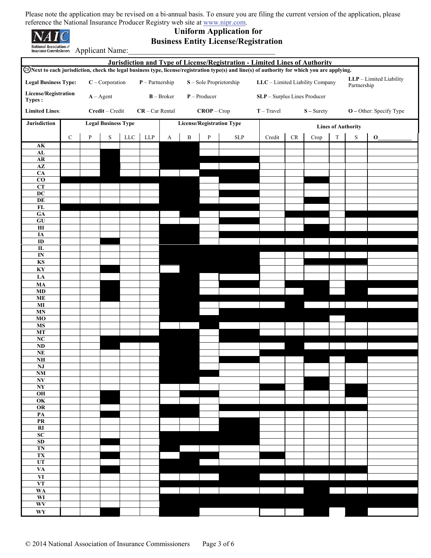| <b>National Association</b> of |  |
|--------------------------------|--|

## **Uniform Application for Business Entity License/Registration**

**Insurance Commissioners Applicant Name:** 

|                                                                       | Jurisdiction and Type of License/Registration - Limited Lines of Authority<br>28 Next to each jurisdiction, check the legal business type, license/registration type(s) and line(s) of authority for which you are applying. |   |                                |             |                   |                         |                                  |               |            |              |                                        |              |             |               |                           |  |  |
|-----------------------------------------------------------------------|------------------------------------------------------------------------------------------------------------------------------------------------------------------------------------------------------------------------------|---|--------------------------------|-------------|-------------------|-------------------------|----------------------------------|---------------|------------|--------------|----------------------------------------|--------------|-------------|---------------|---------------------------|--|--|
| $C$ – Corporation<br>$P$ – Partnership<br><b>Legal Business Type:</b> |                                                                                                                                                                                                                              |   |                                |             |                   | S - Sole Proprietorship | LLC - Limited Liability Company  |               |            |              | LLP - Limited Liability<br>Partnership |              |             |               |                           |  |  |
| License/Registration<br>$A - Agent$                                   |                                                                                                                                                                                                                              |   | $B - Broker$<br>$P -$ Producer |             |                   |                         | SLP - Surplus Lines Producer     |               |            |              |                                        |              |             |               |                           |  |  |
| Types :                                                               |                                                                                                                                                                                                                              |   |                                |             |                   |                         |                                  |               |            |              |                                        |              |             |               |                           |  |  |
| <b>Limited Lines:</b>                                                 |                                                                                                                                                                                                                              |   | Credit - Credit                |             | $CR - Car Rental$ |                         |                                  | $CROP - Crop$ |            | $T - Travel$ |                                        | $S -$ Surety |             |               | $O$ – Other: Specify Type |  |  |
| Jurisdiction                                                          |                                                                                                                                                                                                                              |   | <b>Legal Business Type</b>     |             |                   |                         | <b>License/Registration Type</b> |               |            |              | <b>Lines of Authority</b>              |              |             |               |                           |  |  |
| ${\bf A}{\bf K}$                                                      | ${\bf C}$                                                                                                                                                                                                                    | P | ${\bf S}$                      | ${\rm LLC}$ | ${\rm LLP}$       | $\mathbf{A}$            | $\, {\bf B}$                     | ${\bf P}$     | <b>SLP</b> | Credit       | $\mathrm{CR}$                          | Crop         | $\mathbf T$ | $S_{\text{}}$ | $\mathbf 0$               |  |  |
| ${\bf AL}$                                                            |                                                                                                                                                                                                                              |   |                                |             |                   |                         |                                  |               |            |              |                                        |              |             |               |                           |  |  |
| ${\bf AR}$<br>$\overline{AZ}$                                         |                                                                                                                                                                                                                              |   |                                |             |                   |                         |                                  |               |            |              |                                        |              |             |               |                           |  |  |
| CA<br>$\overline{c}$                                                  |                                                                                                                                                                                                                              |   |                                |             |                   |                         |                                  |               |            |              |                                        |              |             |               |                           |  |  |
| CT                                                                    |                                                                                                                                                                                                                              |   |                                |             |                   |                         |                                  |               |            |              |                                        |              |             |               |                           |  |  |
| $\overline{DC}$<br>DE                                                 |                                                                                                                                                                                                                              |   |                                |             |                   |                         |                                  |               |            |              |                                        |              |             |               |                           |  |  |
| FL<br>${\bf GA}$                                                      |                                                                                                                                                                                                                              |   |                                |             |                   |                         |                                  |               |            |              |                                        |              |             |               |                           |  |  |
| GU                                                                    |                                                                                                                                                                                                                              |   |                                |             |                   |                         |                                  |               |            |              |                                        |              |             |               |                           |  |  |
| $\overline{H}$<br>IA                                                  |                                                                                                                                                                                                                              |   |                                |             |                   |                         |                                  |               |            |              |                                        |              |             |               |                           |  |  |
| $\overline{ID}$<br>$\overline{\mathbf{L}}$                            |                                                                                                                                                                                                                              |   |                                |             |                   |                         |                                  |               |            |              |                                        |              |             |               |                           |  |  |
| $\overline{\mathbf{N}}$                                               |                                                                                                                                                                                                                              |   |                                |             |                   |                         |                                  |               |            |              |                                        |              |             |               |                           |  |  |
| <b>KS</b><br>$\mathbf{K}\mathbf{Y}$                                   |                                                                                                                                                                                                                              |   |                                |             |                   |                         |                                  |               |            |              |                                        |              |             |               |                           |  |  |
| LA                                                                    |                                                                                                                                                                                                                              |   |                                |             |                   |                         |                                  |               |            |              |                                        |              |             |               |                           |  |  |
| $\mathbf{M}\mathbf{A}$<br>$\mathbf{M}\mathbf{D}$                      |                                                                                                                                                                                                                              |   |                                |             |                   |                         |                                  |               |            |              |                                        |              |             |               |                           |  |  |
| $\bf ME$                                                              |                                                                                                                                                                                                                              |   |                                |             |                   |                         |                                  |               |            |              |                                        |              |             |               |                           |  |  |
| $\overline{M}$<br>MN                                                  |                                                                                                                                                                                                                              |   |                                |             |                   |                         |                                  |               |            |              |                                        |              |             |               |                           |  |  |
| MO<br>$\mathbf{M}\mathbf{S}$                                          |                                                                                                                                                                                                                              |   |                                |             |                   |                         |                                  |               |            |              |                                        |              |             |               |                           |  |  |
| <b>MT</b>                                                             |                                                                                                                                                                                                                              |   |                                |             |                   |                         |                                  |               |            |              |                                        |              |             |               |                           |  |  |
| NC<br>$\overline{\bf ND}$                                             |                                                                                                                                                                                                                              |   |                                |             |                   |                         |                                  |               |            |              |                                        |              |             |               |                           |  |  |
| $\mathbf{NE}$<br>$\mathbf{NH}{}$                                      |                                                                                                                                                                                                                              |   |                                |             |                   |                         |                                  |               |            |              |                                        |              |             |               |                           |  |  |
| NJ                                                                    |                                                                                                                                                                                                                              |   |                                |             |                   |                         |                                  |               |            |              |                                        |              |             |               |                           |  |  |
| NM<br>$\mathbf{N}\mathbf{V}$                                          |                                                                                                                                                                                                                              |   |                                |             |                   |                         |                                  |               |            |              |                                        |              |             |               |                           |  |  |
| $\overline{\mathbf{N}}$<br>$\overline{OH}$                            |                                                                                                                                                                                                                              |   |                                |             |                   |                         |                                  |               |            |              |                                        |              |             |               |                           |  |  |
| $\overline{\text{OK}}$                                                |                                                                                                                                                                                                                              |   |                                |             |                   |                         |                                  |               |            |              |                                        |              |             |               |                           |  |  |
| OR<br>PA                                                              |                                                                                                                                                                                                                              |   |                                |             |                   |                         |                                  |               |            |              |                                        |              |             |               |                           |  |  |
| PR<br>$\overline{RI}$                                                 |                                                                                                                                                                                                                              |   |                                |             |                   |                         |                                  |               |            |              |                                        |              |             |               |                           |  |  |
| SC                                                                    |                                                                                                                                                                                                                              |   |                                |             |                   |                         |                                  |               |            |              |                                        |              |             |               |                           |  |  |
| SD<br>TN                                                              |                                                                                                                                                                                                                              |   |                                |             |                   |                         |                                  |               |            |              |                                        |              |             |               |                           |  |  |
| TX                                                                    |                                                                                                                                                                                                                              |   |                                |             |                   |                         |                                  |               |            |              |                                        |              |             |               |                           |  |  |
| UT<br><b>VA</b>                                                       |                                                                                                                                                                                                                              |   |                                |             |                   |                         |                                  |               |            |              |                                        |              |             |               |                           |  |  |
| VI<br><b>VT</b>                                                       |                                                                                                                                                                                                                              |   |                                |             |                   |                         |                                  |               |            |              |                                        |              |             |               |                           |  |  |
| <b>WA</b>                                                             |                                                                                                                                                                                                                              |   |                                |             |                   |                         |                                  |               |            |              |                                        |              |             |               |                           |  |  |
| WI<br>WV                                                              |                                                                                                                                                                                                                              |   |                                |             |                   |                         |                                  |               |            |              |                                        |              |             |               |                           |  |  |
| $\mathbf{W}\mathbf{Y}$                                                |                                                                                                                                                                                                                              |   |                                |             |                   |                         |                                  |               |            |              |                                        |              |             |               |                           |  |  |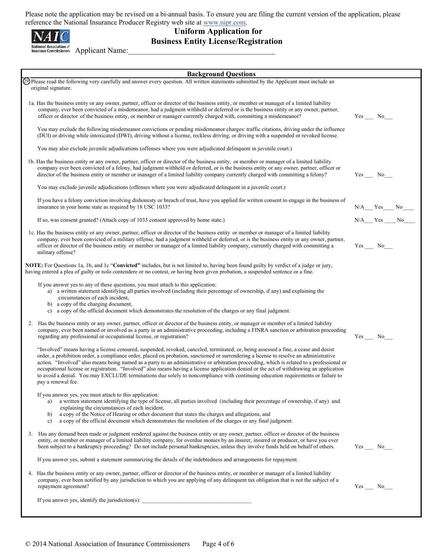

**Uniform Application for Business Entity License/Registration** 

National Association of **Applicant Name:** 

| <b>Background Questions</b>                                                                                                                                                                                                                                                                                                                                                                                                                                                                                                                                                                                                                                                                                                       |                  |
|-----------------------------------------------------------------------------------------------------------------------------------------------------------------------------------------------------------------------------------------------------------------------------------------------------------------------------------------------------------------------------------------------------------------------------------------------------------------------------------------------------------------------------------------------------------------------------------------------------------------------------------------------------------------------------------------------------------------------------------|------------------|
| 29 Please read the following very carefully and answer every question. All written statements submitted by the Applicant must include an<br>original signature.                                                                                                                                                                                                                                                                                                                                                                                                                                                                                                                                                                   |                  |
| 1a. Has the business entity or any owner, partner, officer or director of the business entity, or member or manager of a limited liability<br>company, ever been convicted of a misdemeanor, had a judgment withheld or deferred or is the business entity or any owner, partner,<br>officer or director of the business entity, or member or manager currently charged with, committing a misdemeanor?                                                                                                                                                                                                                                                                                                                           |                  |
| You may exclude the following misdemeanor convictions or pending misdemeanor charges: traffic citations, driving under the influence<br>(DUI) or driving while intoxicated (DWI), driving without a license, reckless driving, or driving with a suspended or revoked license.                                                                                                                                                                                                                                                                                                                                                                                                                                                    |                  |
| You may also exclude juvenile adjudications (offenses where you were adjudicated delinguent in juvenile court.)                                                                                                                                                                                                                                                                                                                                                                                                                                                                                                                                                                                                                   |                  |
| 1b. Has the business entity or any owner, partner, officer or director of the business entity, or member or manager of a limited liability<br>company ever been convicted of a felony, had judgment withheld or deferred, or is the business entity or any owner, partner, officer or<br>director of the business entity or member or manager of a limited liability company currently charged with committing a felony?                                                                                                                                                                                                                                                                                                          |                  |
| You may exclude juvenile adjudications (offenses where you were adjudicated delinquent in a juvenile court.)                                                                                                                                                                                                                                                                                                                                                                                                                                                                                                                                                                                                                      |                  |
| If you have a felony conviction involving dishonesty or breach of trust, have you applied for written consent to engage in the business of<br>insurance in your home state as required by 18 USC 1033?                                                                                                                                                                                                                                                                                                                                                                                                                                                                                                                            | $N/A$ $Yes$ $No$ |
| If so, was consent granted? (Attach copy of 1033 consent approved by home state.)                                                                                                                                                                                                                                                                                                                                                                                                                                                                                                                                                                                                                                                 | $N/A$ $Yes$ $No$ |
| 1c. Has the business entity or any owner, partner, officer or director of the business entity or member or manager of a limited liability<br>company, ever been convicted of a military offense, had a judgment withheld or deferred, or is the business entity or any owner, partner,<br>officer or director of the business entity or member or manager of a limited liability company, currently charged with committing a<br>military offense?                                                                                                                                                                                                                                                                                | $Yes$ No         |
| NOTE: For Questions 1a, 1b, and 1c "Convicted" includes, but is not limited to, having been found guilty by verdict of a judge or jury,<br>having entered a plea of guilty or nolo contendere or no contest, or having been given probation, a suspended sentence or a fine.                                                                                                                                                                                                                                                                                                                                                                                                                                                      |                  |
| If you answer yes to any of these questions, you must attach to this application:<br>a) a written statement identifying all parties involved (including their percentage of ownership, if any) and explaining the<br>circumstances of each incident,<br>b) a copy of the charging document,<br>a copy of the official document which demonstrates the resolution of the charges or any final judgment.<br>c)                                                                                                                                                                                                                                                                                                                      |                  |
| Has the business entity or any owner, partner, officer or director of the business entity, or manager or member of a limited liability<br>2.<br>company, ever been named or involved as a party in an administrative proceeding, including a FINRA sanction or arbitration proceeding<br>regarding any professional or occupational license, or registration?                                                                                                                                                                                                                                                                                                                                                                     |                  |
| "Involved" means having a license censured, suspended, revoked, canceled, terminated; or, being assessed a fine, a cease and desist<br>order, a prohibition order, a compliance order, placed on probation, sanctioned or surrendering a license to resolve an administrative<br>action. "Involved" also means being named as a party to an administrative or arbitration proceeding, which is related to a professional or<br>occupational license or registration. "Involved" also means having a license application denied or the act of withdrawing an application<br>to avoid a denial. You may EXCLUDE terminations due solely to noncompliance with continuing education requirements or failure to<br>pay a renewal fee. |                  |
| If you answer yes, you must attach to this application:<br>a written statement identifying the type of license, all parties involved (including their percentage of ownership, if any) and<br>a)<br>explaining the circumstances of each incident,<br>a copy of the Notice of Hearing or other document that states the charges and allegations, and<br>b)<br>a copy of the official document which demonstrates the resolution of the charges or any final judgment.<br>c)                                                                                                                                                                                                                                                       |                  |
| 3. Has any demand been made or judgment rendered against the business entity or any owner, partner, officer or director of the business<br>entity, or member or manager of a limited liability company, for overdue monies by an insurer, insured or producer, or have you ever<br>been subject to a bankruptcy proceeding? Do not include personal bankruptcies, unless they involve funds held on behalf of others.                                                                                                                                                                                                                                                                                                             | $Yes$ No_        |
| If you answer yes, submit a statement summarizing the details of the indebtedness and arrangements for repayment.                                                                                                                                                                                                                                                                                                                                                                                                                                                                                                                                                                                                                 |                  |
| 4. Has the business entity or any owner, partner, officer or director of the business entity, or member or manager of a limited liability<br>company, ever been notified by any jurisdiction to which you are applying of any delinguent tax obligation that is not the subject of a<br>repayment agreement?                                                                                                                                                                                                                                                                                                                                                                                                                      | Yes No           |
| If you answer yes, identify the jurisdiction(s):                                                                                                                                                                                                                                                                                                                                                                                                                                                                                                                                                                                                                                                                                  |                  |

I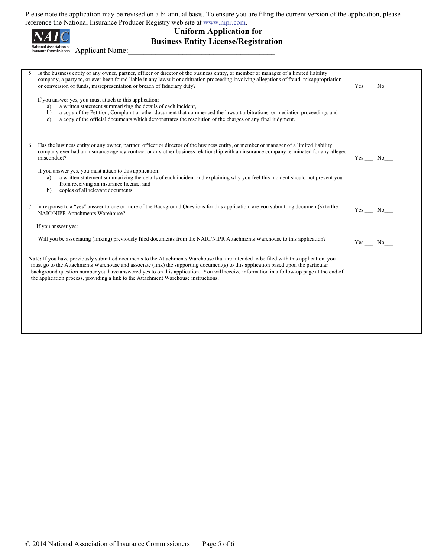Please note the application may be revised on a bi-annual basis. To ensure you are filing the current version of the application, please

|    | Please note the application may be revised on a bi-annual basis. To ensure you are filling the current version of the application, please<br>reference the National Insurance Producer Registry web site at www.nipr.com.<br><b>Uniform Application for</b><br><b>Business Entity License/Registration</b><br><b>National Association of</b><br><b>Applicant Name:</b><br><b>Insurance Commissioners</b>                                                                                                       |                                      |  |
|----|----------------------------------------------------------------------------------------------------------------------------------------------------------------------------------------------------------------------------------------------------------------------------------------------------------------------------------------------------------------------------------------------------------------------------------------------------------------------------------------------------------------|--------------------------------------|--|
|    | 5. Is the business entity or any owner, partner, officer or director of the business entity, or member or manager of a limited liability                                                                                                                                                                                                                                                                                                                                                                       |                                      |  |
|    | company, a party to, or ever been found liable in any lawsuit or arbitration proceeding involving allegations of fraud, misappropriation<br>or conversion of funds, misrepresentation or breach of fiduciary duty?                                                                                                                                                                                                                                                                                             | Yes No                               |  |
|    | If you answer yes, you must attach to this application:<br>a written statement summarizing the details of each incident,<br>a)<br>a copy of the Petition, Complaint or other document that commenced the lawsuit arbitrations, or mediation proceedings and<br>b)<br>a copy of the official documents which demonstrates the resolution of the charges or any final judgment.<br>$\mathbf{c}$                                                                                                                  |                                      |  |
| 6. | Has the business entity or any owner, partner, officer or director of the business entity, or member or manager of a limited liability<br>company ever had an insurance agency contract or any other business relationship with an insurance company terminated for any alleged<br>misconduct?                                                                                                                                                                                                                 | Yes No                               |  |
|    | If you answer yes, you must attach to this application:<br>a written statement summarizing the details of each incident and explaining why you feel this incident should not prevent you<br>a)<br>from receiving an insurance license, and<br>copies of all relevant documents.<br>b)                                                                                                                                                                                                                          |                                      |  |
|    | 7. In response to a "yes" answer to one or more of the Background Questions for this application, are you submitting document(s) to the<br><b>NAIC/NIPR Attachments Warehouse?</b>                                                                                                                                                                                                                                                                                                                             | Yes No                               |  |
|    | If you answer yes:                                                                                                                                                                                                                                                                                                                                                                                                                                                                                             |                                      |  |
|    | Will you be associating (linking) previously filed documents from the NAIC/NIPR Attachments Warehouse to this application?                                                                                                                                                                                                                                                                                                                                                                                     | $Yes$ <sub>__</sub> No <sub>__</sub> |  |
|    | Note: If you have previously submitted documents to the Attachments Warehouse that are intended to be filed with this application, you<br>must go to the Attachments Warehouse and associate (link) the supporting document(s) to this application based upon the particular<br>background question number you have answered yes to on this application. You will receive information in a follow-up page at the end of<br>the application process, providing a link to the Attachment Warehouse instructions. |                                      |  |